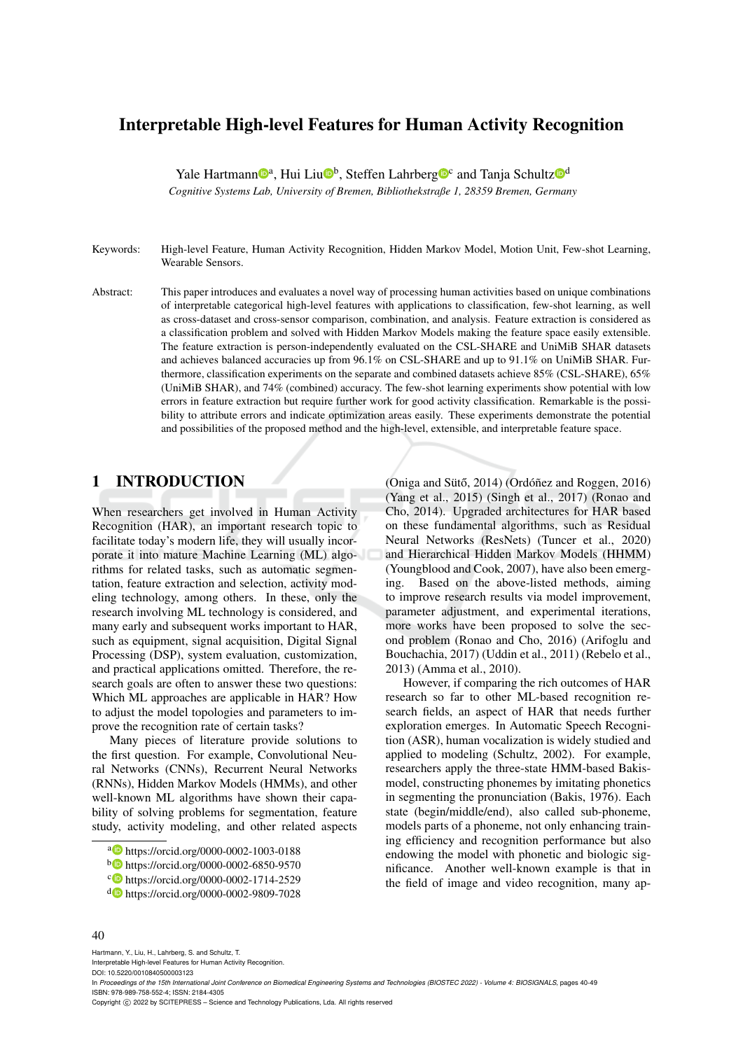# Interpretable High-level Features for Human Activity Recognition

Yale Hartmann<sup>oa</sup>, Hui Liu<sup>ob</sup>, Steffen Lahrberg<sup>oc</sup> and Tanja Schultz<sup>od</sup>

*Cognitive Systems Lab, University of Bremen, Bibliothekstraße 1, 28359 Bremen, Germany*

Keywords: High-level Feature, Human Activity Recognition, Hidden Markov Model, Motion Unit, Few-shot Learning, Wearable Sensors.

Abstract: This paper introduces and evaluates a novel way of processing human activities based on unique combinations of interpretable categorical high-level features with applications to classification, few-shot learning, as well as cross-dataset and cross-sensor comparison, combination, and analysis. Feature extraction is considered as a classification problem and solved with Hidden Markov Models making the feature space easily extensible. The feature extraction is person-independently evaluated on the CSL-SHARE and UniMiB SHAR datasets and achieves balanced accuracies up from 96.1% on CSL-SHARE and up to 91.1% on UniMiB SHAR. Furthermore, classification experiments on the separate and combined datasets achieve 85% (CSL-SHARE), 65% (UniMiB SHAR), and 74% (combined) accuracy. The few-shot learning experiments show potential with low errors in feature extraction but require further work for good activity classification. Remarkable is the possibility to attribute errors and indicate optimization areas easily. These experiments demonstrate the potential and possibilities of the proposed method and the high-level, extensible, and interpretable feature space.

# 1 INTRODUCTION

When researchers get involved in Human Activity Recognition (HAR), an important research topic to facilitate today's modern life, they will usually incorporate it into mature Machine Learning (ML) algorithms for related tasks, such as automatic segmentation, feature extraction and selection, activity modeling technology, among others. In these, only the research involving ML technology is considered, and many early and subsequent works important to HAR. such as equipment, signal acquisition, Digital Signal Processing (DSP), system evaluation, customization, and practical applications omitted. Therefore, the research goals are often to answer these two questions: Which ML approaches are applicable in HAR? How to adjust the model topologies and parameters to improve the recognition rate of certain tasks?

Many pieces of literature provide solutions to the first question. For example, Convolutional Neural Networks (CNNs), Recurrent Neural Networks (RNNs), Hidden Markov Models (HMMs), and other well-known ML algorithms have shown their capability of solving problems for segmentation, feature study, activity modeling, and other related aspects

(Oniga and Sütő, 2014) (Ordóñez and Roggen, 2016) (Yang et al., 2015) (Singh et al., 2017) (Ronao and Cho, 2014). Upgraded architectures for HAR based on these fundamental algorithms, such as Residual Neural Networks (ResNets) (Tuncer et al., 2020) and Hierarchical Hidden Markov Models (HHMM) (Youngblood and Cook, 2007), have also been emerging. Based on the above-listed methods, aiming to improve research results via model improvement, parameter adjustment, and experimental iterations, more works have been proposed to solve the second problem (Ronao and Cho, 2016) (Arifoglu and Bouchachia, 2017) (Uddin et al., 2011) (Rebelo et al., 2013) (Amma et al., 2010).

However, if comparing the rich outcomes of HAR research so far to other ML-based recognition research fields, an aspect of HAR that needs further exploration emerges. In Automatic Speech Recognition (ASR), human vocalization is widely studied and applied to modeling (Schultz, 2002). For example, researchers apply the three-state HMM-based Bakismodel, constructing phonemes by imitating phonetics in segmenting the pronunciation (Bakis, 1976). Each state (begin/middle/end), also called sub-phoneme, models parts of a phoneme, not only enhancing training efficiency and recognition performance but also endowing the model with phonetic and biologic significance. Another well-known example is that in the field of image and video recognition, many ap-

#### 40

Hartmann, Y., Liu, H., Lahrberg, S. and Schultz, T. Interpretable High-level Features for Human Activity Recognition.

DOI: 10.5220/0010840500003123

In Proceedings of the 15th International Joint Conference on Biomedical Engineering Systems and Technologies (BIOSTEC 2022) - Volume 4: BIOSIGNALS, pages 40-49 ISBN: 978-989-758-552-4; ISSN: 2184-4305

a https://orcid.org/0000-0002-1003-0188

<sup>b</sup> https://orcid.org/0000-0002-6850-9570

c https://orcid.org/0000-0002-1714-2529

<sup>d</sup> https://orcid.org/0000-0002-9809-7028

Copyright (C) 2022 by SCITEPRESS - Science and Technology Publications, Lda. All rights reserved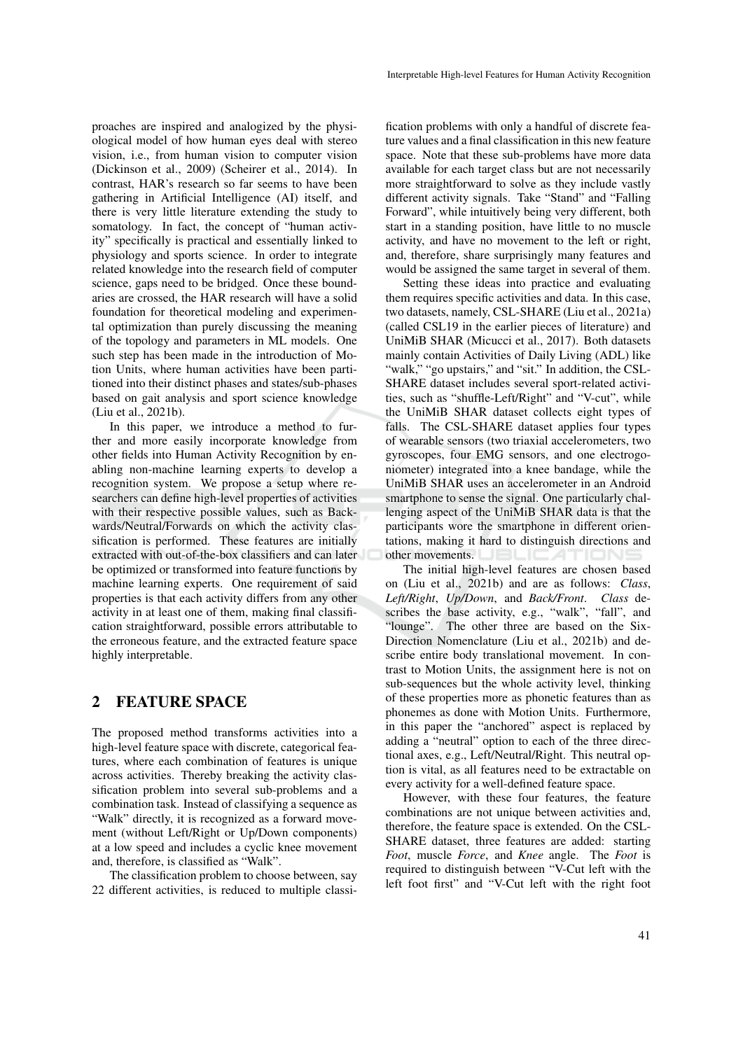proaches are inspired and analogized by the physiological model of how human eyes deal with stereo vision, i.e., from human vision to computer vision (Dickinson et al., 2009) (Scheirer et al., 2014). In contrast, HAR's research so far seems to have been gathering in Artificial Intelligence (AI) itself, and there is very little literature extending the study to somatology. In fact, the concept of "human activity" specifically is practical and essentially linked to physiology and sports science. In order to integrate related knowledge into the research field of computer science, gaps need to be bridged. Once these boundaries are crossed, the HAR research will have a solid foundation for theoretical modeling and experimental optimization than purely discussing the meaning of the topology and parameters in ML models. One such step has been made in the introduction of Motion Units, where human activities have been partitioned into their distinct phases and states/sub-phases based on gait analysis and sport science knowledge (Liu et al., 2021b).

In this paper, we introduce a method to further and more easily incorporate knowledge from other fields into Human Activity Recognition by enabling non-machine learning experts to develop a recognition system. We propose a setup where researchers can define high-level properties of activities with their respective possible values, such as Backwards/Neutral/Forwards on which the activity classification is performed. These features are initially extracted with out-of-the-box classifiers and can later be optimized or transformed into feature functions by machine learning experts. One requirement of said properties is that each activity differs from any other activity in at least one of them, making final classification straightforward, possible errors attributable to the erroneous feature, and the extracted feature space highly interpretable.

# 2 FEATURE SPACE

The proposed method transforms activities into a high-level feature space with discrete, categorical features, where each combination of features is unique across activities. Thereby breaking the activity classification problem into several sub-problems and a combination task. Instead of classifying a sequence as "Walk" directly, it is recognized as a forward movement (without Left/Right or Up/Down components) at a low speed and includes a cyclic knee movement and, therefore, is classified as "Walk".

The classification problem to choose between, say 22 different activities, is reduced to multiple classi-

fication problems with only a handful of discrete feature values and a final classification in this new feature space. Note that these sub-problems have more data available for each target class but are not necessarily more straightforward to solve as they include vastly different activity signals. Take "Stand" and "Falling Forward", while intuitively being very different, both start in a standing position, have little to no muscle activity, and have no movement to the left or right, and, therefore, share surprisingly many features and would be assigned the same target in several of them.

Setting these ideas into practice and evaluating them requires specific activities and data. In this case, two datasets, namely, CSL-SHARE (Liu et al., 2021a) (called CSL19 in the earlier pieces of literature) and UniMiB SHAR (Micucci et al., 2017). Both datasets mainly contain Activities of Daily Living (ADL) like "walk," "go upstairs," and "sit." In addition, the CSL-SHARE dataset includes several sport-related activities, such as "shuffle-Left/Right" and "V-cut", while the UniMiB SHAR dataset collects eight types of falls. The CSL-SHARE dataset applies four types of wearable sensors (two triaxial accelerometers, two gyroscopes, four EMG sensors, and one electrogoniometer) integrated into a knee bandage, while the UniMiB SHAR uses an accelerometer in an Android smartphone to sense the signal. One particularly challenging aspect of the UniMiB SHAR data is that the participants wore the smartphone in different orientations, making it hard to distinguish directions and other movements.

The initial high-level features are chosen based on (Liu et al., 2021b) and are as follows: *Class*, *Left/Right*, *Up/Down*, and *Back/Front*. *Class* describes the base activity, e.g., "walk", "fall", and "lounge". The other three are based on the Six-Direction Nomenclature (Liu et al., 2021b) and describe entire body translational movement. In contrast to Motion Units, the assignment here is not on sub-sequences but the whole activity level, thinking of these properties more as phonetic features than as phonemes as done with Motion Units. Furthermore, in this paper the "anchored" aspect is replaced by adding a "neutral" option to each of the three directional axes, e.g., Left/Neutral/Right. This neutral option is vital, as all features need to be extractable on every activity for a well-defined feature space.

However, with these four features, the feature combinations are not unique between activities and, therefore, the feature space is extended. On the CSL-SHARE dataset, three features are added: starting *Foot*, muscle *Force*, and *Knee* angle. The *Foot* is required to distinguish between "V-Cut left with the left foot first" and "V-Cut left with the right foot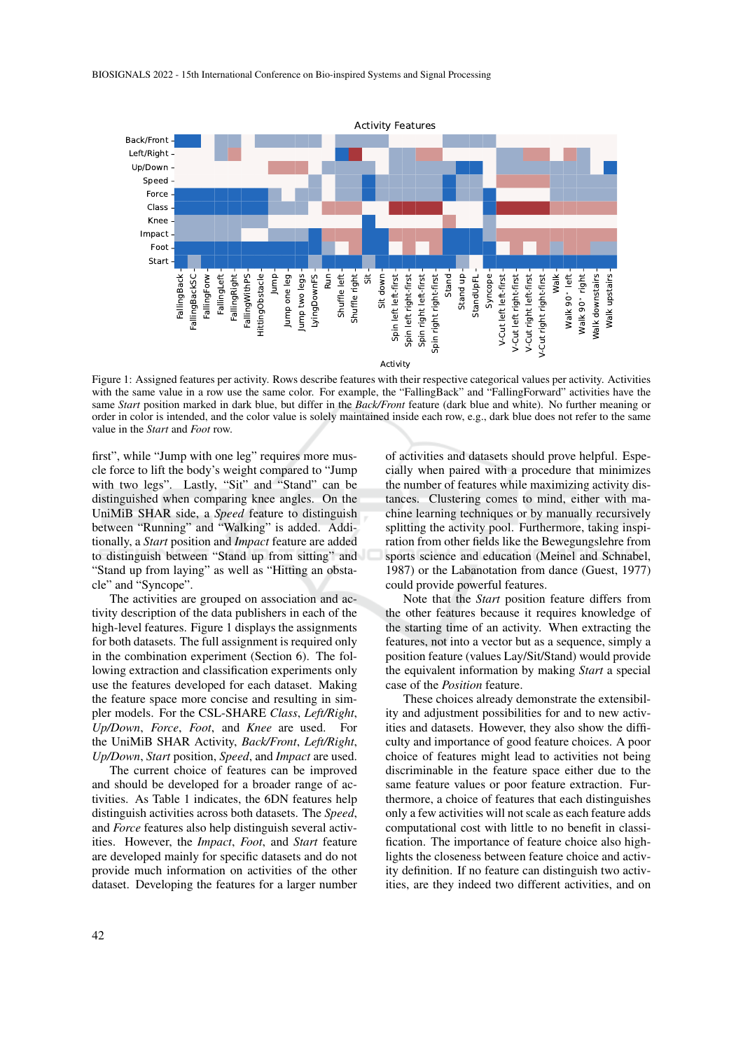

Figure 1: Assigned features per activity. Rows describe features with their respective categorical values per activity. Activities with the same value in a row use the same color. For example, the "FallingBack" and "FallingForward" activities have the same *Start* position marked in dark blue, but differ in the *Back/Front* feature (dark blue and white). No further meaning or order in color is intended, and the color value is solely maintained inside each row, e.g., dark blue does not refer to the same value in the *Start* and *Foot* row.

first", while "Jump with one leg" requires more muscle force to lift the body's weight compared to "Jump with two legs". Lastly, "Sit" and "Stand" can be distinguished when comparing knee angles. On the UniMiB SHAR side, a *Speed* feature to distinguish between "Running" and "Walking" is added. Additionally, a *Start* position and *Impact* feature are added to distinguish between "Stand up from sitting" and "Stand up from laying" as well as "Hitting an obstacle" and "Syncope".

The activities are grouped on association and activity description of the data publishers in each of the high-level features. Figure 1 displays the assignments for both datasets. The full assignment is required only in the combination experiment (Section 6). The following extraction and classification experiments only use the features developed for each dataset. Making the feature space more concise and resulting in simpler models. For the CSL-SHARE *Class*, *Left/Right*, *Up/Down*, *Force*, *Foot*, and *Knee* are used. For the UniMiB SHAR Activity, *Back/Front*, *Left/Right*, *Up/Down*, *Start* position, *Speed*, and *Impact* are used.

The current choice of features can be improved and should be developed for a broader range of activities. As Table 1 indicates, the 6DN features help distinguish activities across both datasets. The *Speed*, and *Force* features also help distinguish several activities. However, the *Impact*, *Foot*, and *Start* feature are developed mainly for specific datasets and do not provide much information on activities of the other dataset. Developing the features for a larger number

of activities and datasets should prove helpful. Especially when paired with a procedure that minimizes the number of features while maximizing activity distances. Clustering comes to mind, either with machine learning techniques or by manually recursively splitting the activity pool. Furthermore, taking inspiration from other fields like the Bewegungslehre from sports science and education (Meinel and Schnabel, 1987) or the Labanotation from dance (Guest, 1977) could provide powerful features.

Note that the *Start* position feature differs from the other features because it requires knowledge of the starting time of an activity. When extracting the features, not into a vector but as a sequence, simply a position feature (values Lay/Sit/Stand) would provide the equivalent information by making *Start* a special case of the *Position* feature.

These choices already demonstrate the extensibility and adjustment possibilities for and to new activities and datasets. However, they also show the difficulty and importance of good feature choices. A poor choice of features might lead to activities not being discriminable in the feature space either due to the same feature values or poor feature extraction. Furthermore, a choice of features that each distinguishes only a few activities will not scale as each feature adds computational cost with little to no benefit in classification. The importance of feature choice also highlights the closeness between feature choice and activity definition. If no feature can distinguish two activities, are they indeed two different activities, and on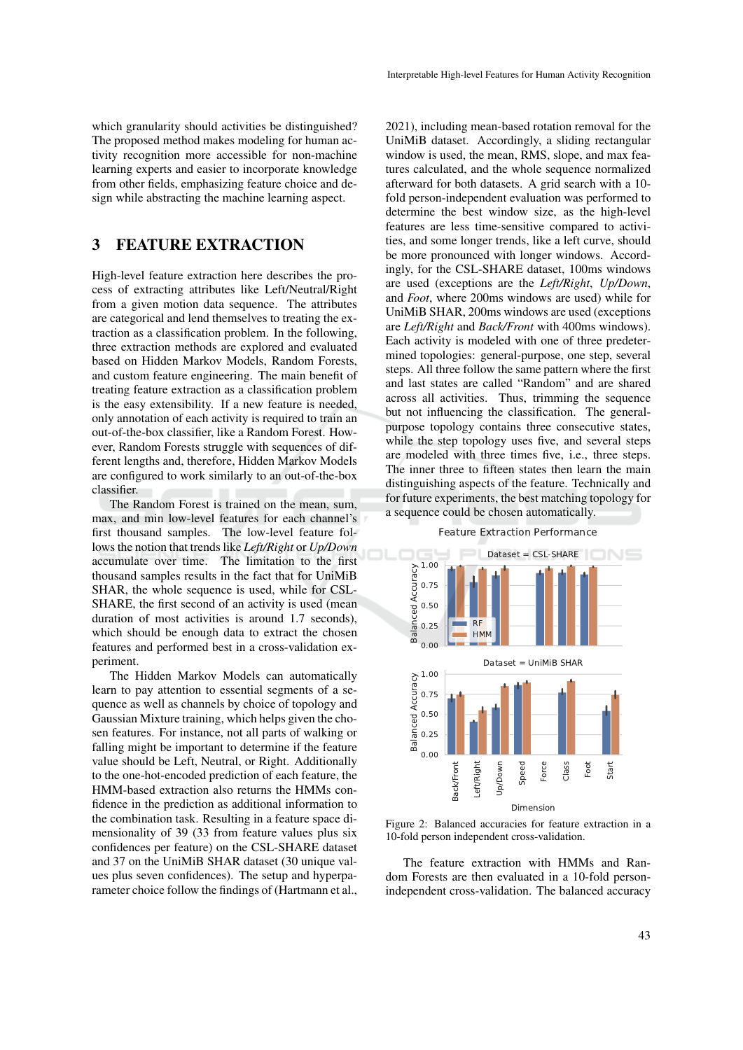which granularity should activities be distinguished? The proposed method makes modeling for human activity recognition more accessible for non-machine learning experts and easier to incorporate knowledge from other fields, emphasizing feature choice and design while abstracting the machine learning aspect.

## 3 FEATURE EXTRACTION

High-level feature extraction here describes the process of extracting attributes like Left/Neutral/Right from a given motion data sequence. The attributes are categorical and lend themselves to treating the extraction as a classification problem. In the following, three extraction methods are explored and evaluated based on Hidden Markov Models, Random Forests, and custom feature engineering. The main benefit of treating feature extraction as a classification problem is the easy extensibility. If a new feature is needed, only annotation of each activity is required to train an out-of-the-box classifier, like a Random Forest. However, Random Forests struggle with sequences of different lengths and, therefore, Hidden Markov Models are configured to work similarly to an out-of-the-box classifier.

The Random Forest is trained on the mean, sum, max, and min low-level features for each channel's first thousand samples. The low-level feature follows the notion that trends like *Left/Right* or *Up/Down* accumulate over time. The limitation to the first thousand samples results in the fact that for UniMiB SHAR, the whole sequence is used, while for CSL-SHARE, the first second of an activity is used (mean duration of most activities is around 1.7 seconds), which should be enough data to extract the chosen features and performed best in a cross-validation experiment.

The Hidden Markov Models can automatically learn to pay attention to essential segments of a sequence as well as channels by choice of topology and Gaussian Mixture training, which helps given the chosen features. For instance, not all parts of walking or falling might be important to determine if the feature value should be Left, Neutral, or Right. Additionally to the one-hot-encoded prediction of each feature, the HMM-based extraction also returns the HMMs confidence in the prediction as additional information to the combination task. Resulting in a feature space dimensionality of 39 (33 from feature values plus six confidences per feature) on the CSL-SHARE dataset and 37 on the UniMiB SHAR dataset (30 unique values plus seven confidences). The setup and hyperparameter choice follow the findings of (Hartmann et al.,

2021), including mean-based rotation removal for the UniMiB dataset. Accordingly, a sliding rectangular window is used, the mean, RMS, slope, and max features calculated, and the whole sequence normalized afterward for both datasets. A grid search with a 10 fold person-independent evaluation was performed to determine the best window size, as the high-level features are less time-sensitive compared to activities, and some longer trends, like a left curve, should be more pronounced with longer windows. Accordingly, for the CSL-SHARE dataset, 100ms windows are used (exceptions are the *Left/Right*, *Up/Down*, and *Foot*, where 200ms windows are used) while for UniMiB SHAR, 200ms windows are used (exceptions are *Left/Right* and *Back/Front* with 400ms windows). Each activity is modeled with one of three predetermined topologies: general-purpose, one step, several steps. All three follow the same pattern where the first and last states are called "Random" and are shared across all activities. Thus, trimming the sequence but not influencing the classification. The generalpurpose topology contains three consecutive states, while the step topology uses five, and several steps are modeled with three times five, i.e., three steps. The inner three to fifteen states then learn the main distinguishing aspects of the feature. Technically and for future experiments, the best matching topology for a sequence could be chosen automatically.

#### Feature Extraction Performance



Figure 2: Balanced accuracies for feature extraction in a 10-fold person independent cross-validation.

The feature extraction with HMMs and Random Forests are then evaluated in a 10-fold personindependent cross-validation. The balanced accuracy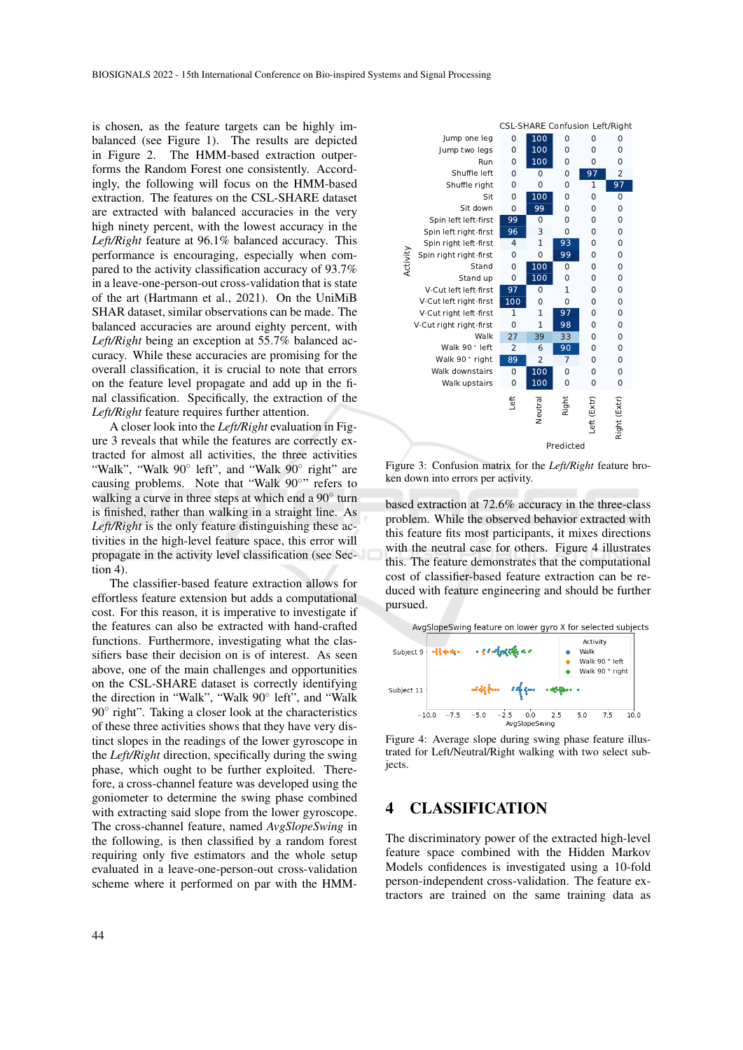is chosen, as the feature targets can be highly imbalanced (see Figure 1). The results are depicted in Figure 2. The HMM-based extraction outperforms the Random Forest one consistently. Accordingly, the following will focus on the HMM-based extraction. The features on the CSL-SHARE dataset are extracted with balanced accuracies in the very high ninety percent, with the lowest accuracy in the *Left/Right* feature at 96.1% balanced accuracy. This performance is encouraging, especially when compared to the activity classification accuracy of 93.7% in a leave-one-person-out cross-validation that is state of the art (Hartmann et al., 2021). On the UniMiB SHAR dataset, similar observations can be made. The balanced accuracies are around eighty percent, with *Left/Right* being an exception at 55.7% balanced accuracy. While these accuracies are promising for the overall classification, it is crucial to note that errors on the feature level propagate and add up in the final classification. Specifically, the extraction of the *Left/Right* feature requires further attention.

A closer look into the *Left/Right* evaluation in Figure 3 reveals that while the features are correctly extracted for almost all activities, the three activities "Walk", "Walk 90° left", and "Walk 90° right" are causing problems. Note that "Walk 90°" refers to walking a curve in three steps at which end a 90° turn is finished, rather than walking in a straight line. As *Left/Right* is the only feature distinguishing these activities in the high-level feature space, this error will propagate in the activity level classification (see Section 4).

The classifier-based feature extraction allows for effortless feature extension but adds a computational cost. For this reason, it is imperative to investigate if the features can also be extracted with hand-crafted functions. Furthermore, investigating what the classifiers base their decision on is of interest. As seen above, one of the main challenges and opportunities on the CSL-SHARE dataset is correctly identifying the direction in "Walk", "Walk 90◦ left", and "Walk 90° right". Taking a closer look at the characteristics of these three activities shows that they have very distinct slopes in the readings of the lower gyroscope in the *Left/Right* direction, specifically during the swing phase, which ought to be further exploited. Therefore, a cross-channel feature was developed using the goniometer to determine the swing phase combined with extracting said slope from the lower gyroscope. The cross-channel feature, named *AvgSlopeSwing* in the following, is then classified by a random forest requiring only five estimators and the whole setup evaluated in a leave-one-person-out cross-validation and conservation. Spectral and conservation in Fig. 2.1<br>
All  $L_f(RRtght$  relations the extraction of the extraction in Fig. 4.2<br>
and 2 reveals that while the features are correctly ex-<br>
true 3 reveals that while the feature



Figure 3: Confusion matrix for the *Left/Right* feature broken down into errors per activity.

based extraction at 72.6% accuracy in the three-class problem. While the observed behavior extracted with this feature fits most participants, it mixes directions with the neutral case for others. Figure 4 illustrates this. The feature demonstrates that the computational cost of classifier-based feature extraction can be reduced with feature engineering and should be further pursued.



Figure 4: Average slope during swing phase feature illustrated for Left/Neutral/Right walking with two select subjects.

### 4 CLASSIFICATION

The discriminatory power of the extracted high-level feature space combined with the Hidden Markov Models confidences is investigated using a 10-fold person-independent cross-validation. The feature extractors are trained on the same training data as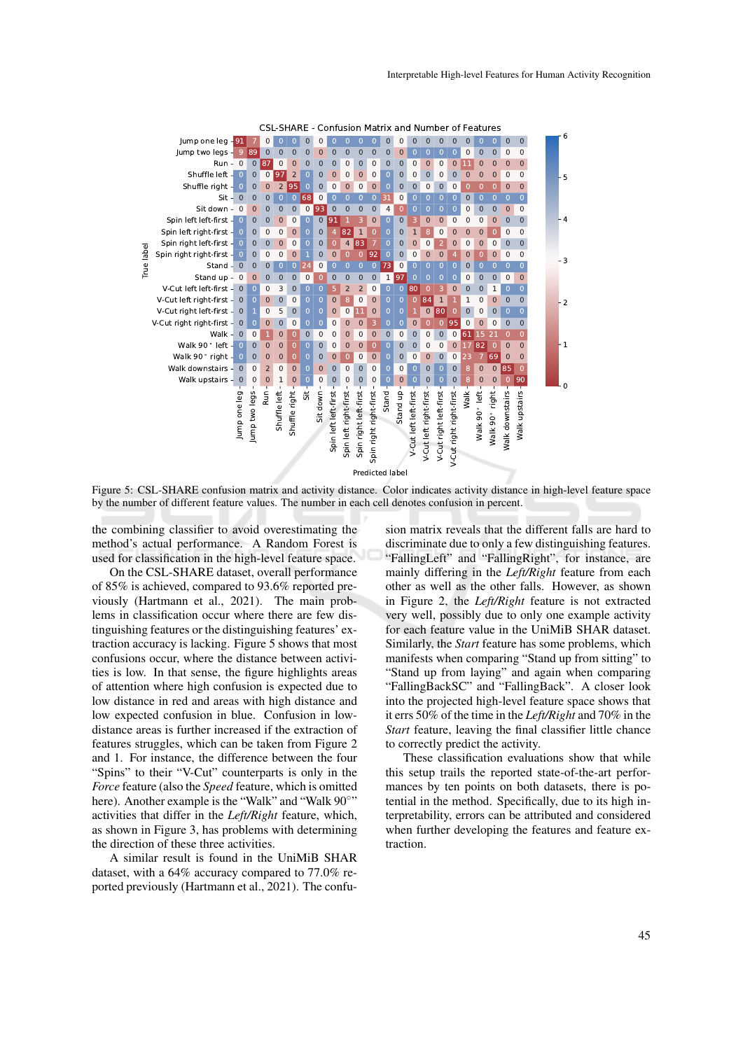

Figure 5: CSL-SHARE confusion matrix and activity distance. Color indicates activity distance in high-level feature space by the number of different feature values. The number in each cell denotes confusion in percent.

the combining classifier to avoid overestimating the method's actual performance. A Random Forest is used for classification in the high-level feature space.

On the CSL-SHARE dataset, overall performance of 85% is achieved, compared to 93.6% reported previously (Hartmann et al., 2021). The main problems in classification occur where there are few distinguishing features or the distinguishing features' extraction accuracy is lacking. Figure 5 shows that most confusions occur, where the distance between activities is low. In that sense, the figure highlights areas of attention where high confusion is expected due to low distance in red and areas with high distance and low expected confusion in blue. Confusion in lowdistance areas is further increased if the extraction of features struggles, which can be taken from Figure 2 and 1. For instance, the difference between the four "Spins" to their "V-Cut" counterparts is only in the *Force* feature (also the *Speed* feature, which is omitted here). Another example is the "Walk" and "Walk 90°" activities that differ in the *Left/Right* feature, which, as shown in Figure 3, has problems with determining the direction of these three activities.

A similar result is found in the UniMiB SHAR dataset, with a 64% accuracy compared to 77.0% reported previously (Hartmann et al., 2021). The confu-

sion matrix reveals that the different falls are hard to discriminate due to only a few distinguishing features. "FallingLeft" and "FallingRight", for instance, are mainly differing in the *Left/Right* feature from each other as well as the other falls. However, as shown in Figure 2, the *Left/Right* feature is not extracted very well, possibly due to only one example activity for each feature value in the UniMiB SHAR dataset. Similarly, the *Start* feature has some problems, which manifests when comparing "Stand up from sitting" to "Stand up from laying" and again when comparing "FallingBackSC" and "FallingBack". A closer look into the projected high-level feature space shows that it errs 50% of the time in the *Left/Right* and 70% in the *Start* feature, leaving the final classifier little chance to correctly predict the activity.

These classification evaluations show that while this setup trails the reported state-of-the-art performances by ten points on both datasets, there is potential in the method. Specifically, due to its high interpretability, errors can be attributed and considered when further developing the features and feature extraction.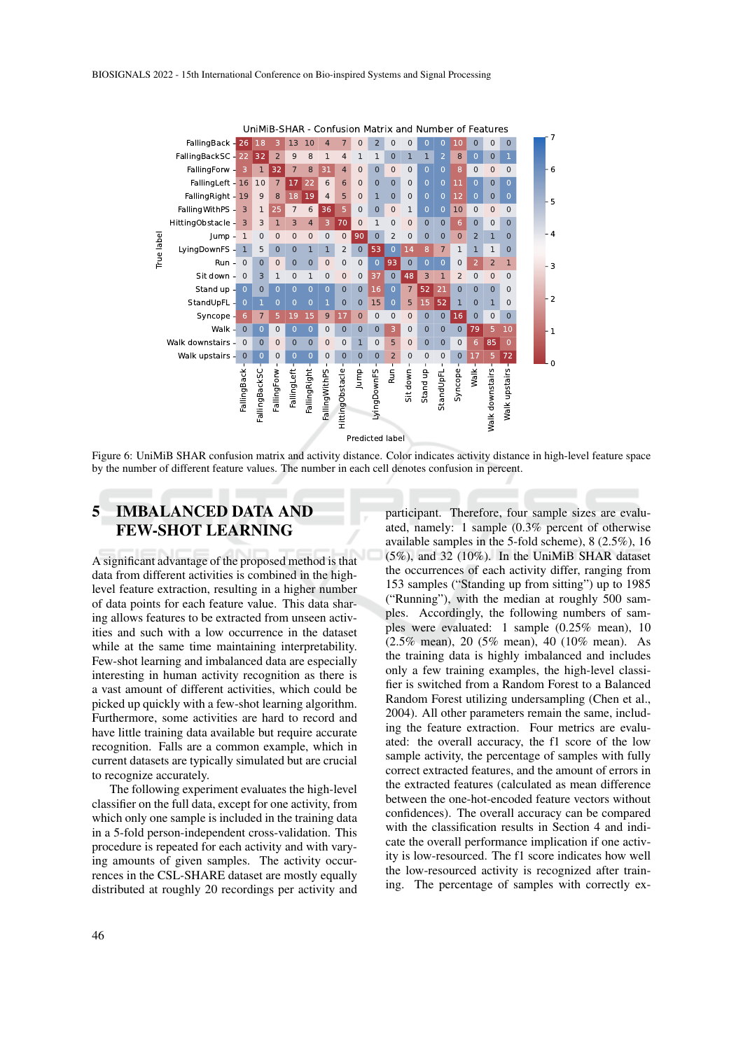

Figure 6: UniMiB SHAR confusion matrix and activity distance. Color indicates activity distance in high-level feature space by the number of different feature values. The number in each cell denotes confusion in percent.

# 5 IMBALANCED DATA AND FEW-SHOT LEARNING

A significant advantage of the proposed method is that data from different activities is combined in the highlevel feature extraction, resulting in a higher number of data points for each feature value. This data sharing allows features to be extracted from unseen activities and such with a low occurrence in the dataset while at the same time maintaining interpretability. Few-shot learning and imbalanced data are especially interesting in human activity recognition as there is a vast amount of different activities, which could be picked up quickly with a few-shot learning algorithm. Furthermore, some activities are hard to record and have little training data available but require accurate recognition. Falls are a common example, which in current datasets are typically simulated but are crucial to recognize accurately.

The following experiment evaluates the high-level classifier on the full data, except for one activity, from which only one sample is included in the training data in a 5-fold person-independent cross-validation. This procedure is repeated for each activity and with varying amounts of given samples. The activity occurrences in the CSL-SHARE dataset are mostly equally distributed at roughly 20 recordings per activity and

participant. Therefore, four sample sizes are evaluated, namely: 1 sample (0.3% percent of otherwise available samples in the 5-fold scheme), 8 (2.5%), 16 (5%), and 32 (10%). In the UniMiB SHAR dataset the occurrences of each activity differ, ranging from 153 samples ("Standing up from sitting") up to 1985 ("Running"), with the median at roughly 500 samples. Accordingly, the following numbers of samples were evaluated: 1 sample (0.25% mean), 10 (2.5% mean), 20 (5% mean), 40 (10% mean). As the training data is highly imbalanced and includes only a few training examples, the high-level classifier is switched from a Random Forest to a Balanced Random Forest utilizing undersampling (Chen et al., 2004). All other parameters remain the same, including the feature extraction. Four metrics are evaluated: the overall accuracy, the f1 score of the low sample activity, the percentage of samples with fully correct extracted features, and the amount of errors in the extracted features (calculated as mean difference between the one-hot-encoded feature vectors without confidences). The overall accuracy can be compared with the classification results in Section 4 and indicate the overall performance implication if one activity is low-resourced. The f1 score indicates how well the low-resourced activity is recognized after training. The percentage of samples with correctly ex-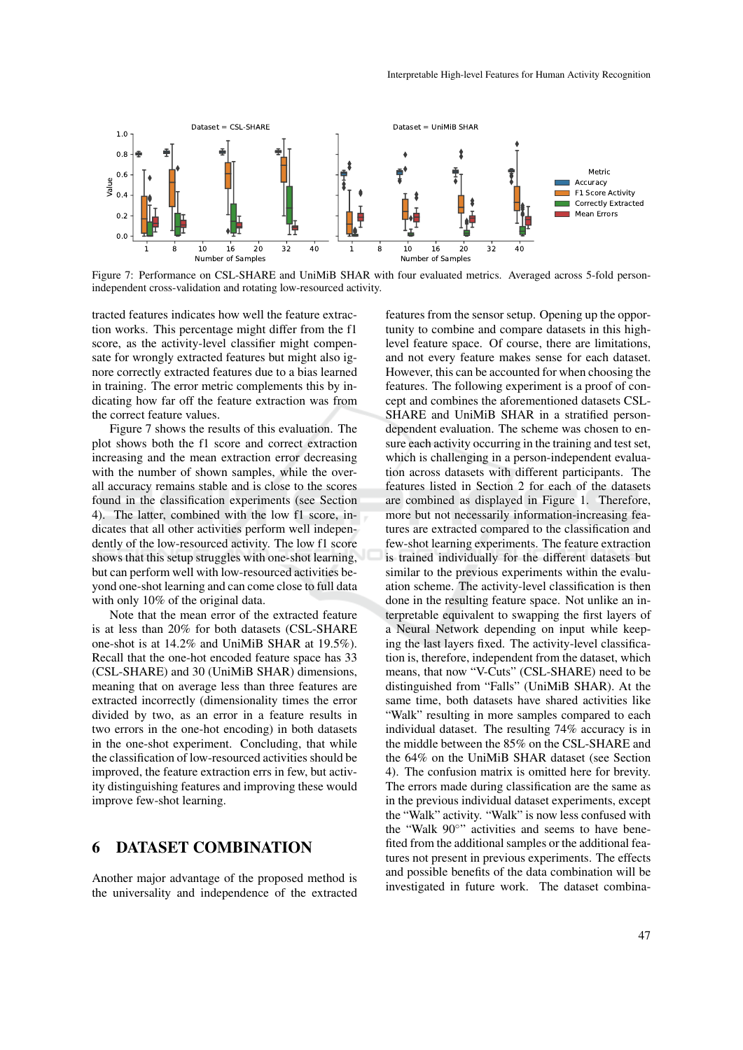

Figure 7: Performance on CSL-SHARE and UniMiB SHAR with four evaluated metrics. Averaged across 5-fold personindependent cross-validation and rotating low-resourced activity.

tracted features indicates how well the feature extraction works. This percentage might differ from the f1 score, as the activity-level classifier might compensate for wrongly extracted features but might also ignore correctly extracted features due to a bias learned in training. The error metric complements this by indicating how far off the feature extraction was from the correct feature values.

Figure 7 shows the results of this evaluation. The plot shows both the f1 score and correct extraction increasing and the mean extraction error decreasing with the number of shown samples, while the overall accuracy remains stable and is close to the scores found in the classification experiments (see Section 4). The latter, combined with the low f1 score, indicates that all other activities perform well independently of the low-resourced activity. The low f1 score shows that this setup struggles with one-shot learning, but can perform well with low-resourced activities beyond one-shot learning and can come close to full data with only 10% of the original data.

Note that the mean error of the extracted feature is at less than 20% for both datasets (CSL-SHARE one-shot is at 14.2% and UniMiB SHAR at 19.5%). Recall that the one-hot encoded feature space has 33 (CSL-SHARE) and 30 (UniMiB SHAR) dimensions, meaning that on average less than three features are extracted incorrectly (dimensionality times the error divided by two, as an error in a feature results in two errors in the one-hot encoding) in both datasets in the one-shot experiment. Concluding, that while the classification of low-resourced activities should be improved, the feature extraction errs in few, but activity distinguishing features and improving these would improve few-shot learning.

# 6 DATASET COMBINATION

Another major advantage of the proposed method is the universality and independence of the extracted

features from the sensor setup. Opening up the opportunity to combine and compare datasets in this highlevel feature space. Of course, there are limitations, and not every feature makes sense for each dataset. However, this can be accounted for when choosing the features. The following experiment is a proof of concept and combines the aforementioned datasets CSL-SHARE and UniMiB SHAR in a stratified persondependent evaluation. The scheme was chosen to ensure each activity occurring in the training and test set, which is challenging in a person-independent evaluation across datasets with different participants. The features listed in Section 2 for each of the datasets are combined as displayed in Figure 1. Therefore, more but not necessarily information-increasing features are extracted compared to the classification and few-shot learning experiments. The feature extraction is trained individually for the different datasets but similar to the previous experiments within the evaluation scheme. The activity-level classification is then done in the resulting feature space. Not unlike an interpretable equivalent to swapping the first layers of a Neural Network depending on input while keeping the last layers fixed. The activity-level classification is, therefore, independent from the dataset, which means, that now "V-Cuts" (CSL-SHARE) need to be distinguished from "Falls" (UniMiB SHAR). At the same time, both datasets have shared activities like "Walk" resulting in more samples compared to each individual dataset. The resulting 74% accuracy is in the middle between the 85% on the CSL-SHARE and the 64% on the UniMiB SHAR dataset (see Section 4). The confusion matrix is omitted here for brevity. The errors made during classification are the same as in the previous individual dataset experiments, except the "Walk" activity. "Walk" is now less confused with the "Walk 90°" activities and seems to have benefited from the additional samples or the additional features not present in previous experiments. The effects and possible benefits of the data combination will be investigated in future work. The dataset combina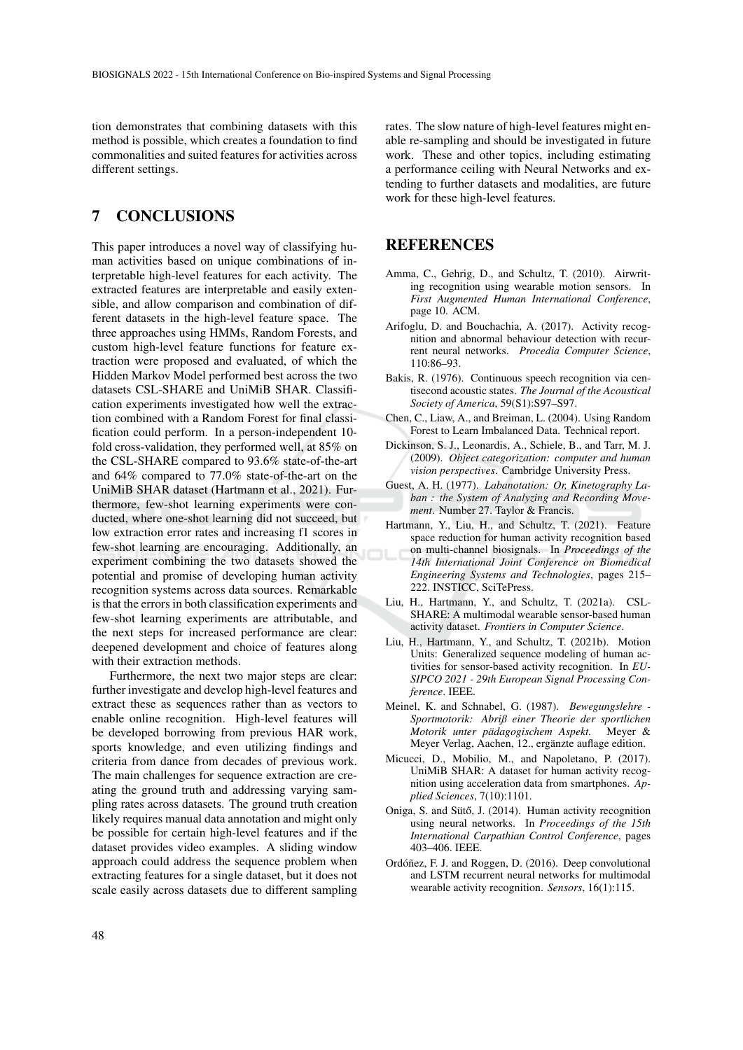tion demonstrates that combining datasets with this method is possible, which creates a foundation to find commonalities and suited features for activities across different settings.

# 7 CONCLUSIONS

This paper introduces a novel way of classifying human activities based on unique combinations of interpretable high-level features for each activity. The extracted features are interpretable and easily extensible, and allow comparison and combination of different datasets in the high-level feature space. The three approaches using HMMs, Random Forests, and custom high-level feature functions for feature extraction were proposed and evaluated, of which the Hidden Markov Model performed best across the two datasets CSL-SHARE and UniMiB SHAR. Classification experiments investigated how well the extraction combined with a Random Forest for final classification could perform. In a person-independent 10 fold cross-validation, they performed well, at 85% on the CSL-SHARE compared to 93.6% state-of-the-art and 64% compared to 77.0% state-of-the-art on the UniMiB SHAR dataset (Hartmann et al., 2021). Furthermore, few-shot learning experiments were conducted, where one-shot learning did not succeed, but low extraction error rates and increasing f1 scores in few-shot learning are encouraging. Additionally, an experiment combining the two datasets showed the potential and promise of developing human activity recognition systems across data sources. Remarkable is that the errors in both classification experiments and few-shot learning experiments are attributable, and the next steps for increased performance are clear: deepened development and choice of features along with their extraction methods.

Furthermore, the next two major steps are clear: further investigate and develop high-level features and extract these as sequences rather than as vectors to enable online recognition. High-level features will be developed borrowing from previous HAR work, sports knowledge, and even utilizing findings and criteria from dance from decades of previous work. The main challenges for sequence extraction are creating the ground truth and addressing varying sampling rates across datasets. The ground truth creation likely requires manual data annotation and might only be possible for certain high-level features and if the dataset provides video examples. A sliding window approach could address the sequence problem when extracting features for a single dataset, but it does not scale easily across datasets due to different sampling

rates. The slow nature of high-level features might enable re-sampling and should be investigated in future work. These and other topics, including estimating a performance ceiling with Neural Networks and extending to further datasets and modalities, are future work for these high-level features.

#### REFERENCES

- Amma, C., Gehrig, D., and Schultz, T. (2010). Airwriting recognition using wearable motion sensors. In *First Augmented Human International Conference*, page 10. ACM.
- Arifoglu, D. and Bouchachia, A. (2017). Activity recognition and abnormal behaviour detection with recurrent neural networks. *Procedia Computer Science*, 110:86–93.
- Bakis, R. (1976). Continuous speech recognition via centisecond acoustic states. *The Journal of the Acoustical Society of America*, 59(S1):S97–S97.
- Chen, C., Liaw, A., and Breiman, L. (2004). Using Random Forest to Learn Imbalanced Data. Technical report.
- Dickinson, S. J., Leonardis, A., Schiele, B., and Tarr, M. J. (2009). *Object categorization: computer and human vision perspectives*. Cambridge University Press.
- Guest, A. H. (1977). *Labanotation: Or, Kinetography Laban : the System of Analyzing and Recording Movement*. Number 27. Taylor & Francis.
- Hartmann, Y., Liu, H., and Schultz, T. (2021). Feature space reduction for human activity recognition based on multi-channel biosignals. In *Proceedings of the 14th International Joint Conference on Biomedical Engineering Systems and Technologies*, pages 215– 222. INSTICC, SciTePress.
- Liu, H., Hartmann, Y., and Schultz, T. (2021a). CSL-SHARE: A multimodal wearable sensor-based human activity dataset. *Frontiers in Computer Science*.
- Liu, H., Hartmann, Y., and Schultz, T. (2021b). Motion Units: Generalized sequence modeling of human activities for sensor-based activity recognition. In *EU-SIPCO 2021 - 29th European Signal Processing Conference*. IEEE.
- Meinel, K. and Schnabel, G. (1987). *Bewegungslehre - Sportmotorik: Abriß einer Theorie der sportlichen Motorik unter padagogischem Aspekt. ¨* Meyer & Meyer Verlag, Aachen, 12., ergänzte auflage edition.
- Micucci, D., Mobilio, M., and Napoletano, P. (2017). UniMiB SHAR: A dataset for human activity recognition using acceleration data from smartphones. *Applied Sciences*, 7(10):1101.
- Oniga, S. and Sütő, J. (2014). Human activity recognition using neural networks. In *Proceedings of the 15th International Carpathian Control Conference*, pages 403–406. IEEE.
- Ordóñez, F. J. and Roggen, D. (2016). Deep convolutional and LSTM recurrent neural networks for multimodal wearable activity recognition. *Sensors*, 16(1):115.